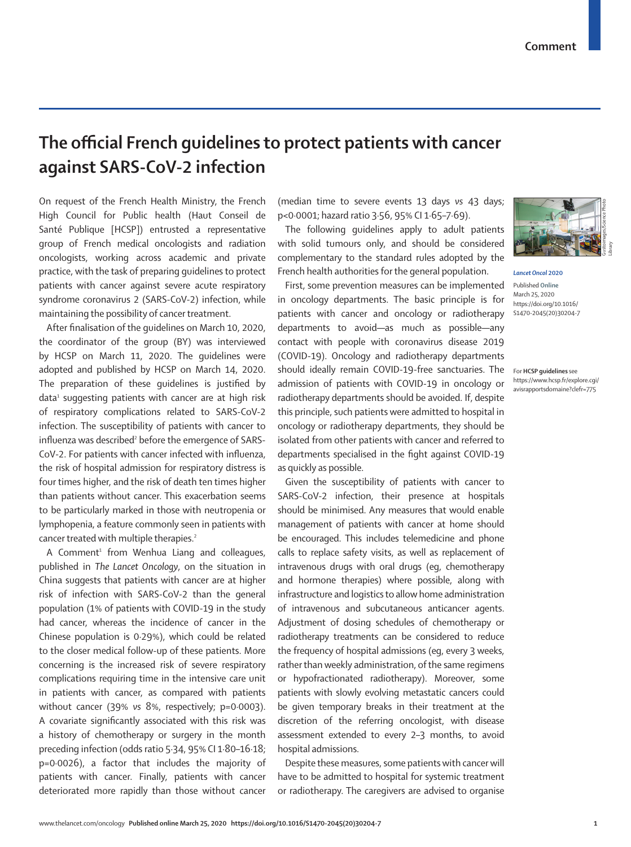## **The official French guidelines to protect patients with cancer against SARS-CoV-2 infection**

On request of the French Health Ministry, the French High Council for Public health (Haut Conseil de Santé Publique [HCSP]) entrusted a representative group of French medical oncologists and radiation oncologists, working across academic and private practice, with the task of preparing guidelines to protect patients with cancer against severe acute respiratory syndrome coronavirus 2 (SARS-CoV-2) infection, while maintaining the possibility of cancer treatment.

After finalisation of the guidelines on March 10, 2020, the coordinator of the group (BY) was interviewed by HCSP on March 11, 2020. The guidelines were adopted and [published by HCSP](https://www.hcsp.fr/explore.cgi/avisrapportsdomaine?clefr=775) on March 14, 2020. The preparation of these quidelines is justified by  $data<sup>1</sup>$  suggesting patients with cancer are at high risk of respiratory complications related to SARS-CoV-2 infection. The susceptibility of patients with cancer to influenza was described<sup>2</sup> before the emergence of SARS-CoV-2. For patients with cancer infected with influenza, the risk of hospital admission for respiratory distress is four times higher, and the risk of death ten times higher than patients without cancer. This exacerbation seems to be particularly marked in those with neutropenia or lymphopenia, a feature commonly seen in patients with cancer treated with multiple therapies.<sup>2</sup>

A Comment<sup>1</sup> from Wenhua Liang and colleagues, published in *The Lancet Oncology*, on the situation in China suggests that patients with cancer are at higher risk of infection with SARS-CoV-2 than the general population (1% of patients with COVID-19 in the study had cancer, whereas the incidence of cancer in the Chinese population is 0·29%), which could be related to the closer medical follow-up of these patients. More concerning is the increased risk of severe respiratory complications requiring time in the intensive care unit in patients with cancer, as compared with patients without cancer (39% *vs* 8%, respectively; p=0·0003). A covariate significantly associated with this risk was a history of chemotherapy or surgery in the month preceding infection (odds ratio 5·34, 95% CI 1·80–16·18; p=0·0026), a factor that includes the majority of patients with cancer. Finally, patients with cancer deteriorated more rapidly than those without cancer (median time to severe events 13 days *vs* 43 days; p<0·0001; hazard ratio 3·56, 95% CI 1·65–7·69).

The following guidelines apply to adult patients with solid tumours only, and should be considered complementary to the standard rules adopted by the French health authorities for the general population.

First, some prevention measures can be implemented in oncology departments. The basic principle is for patients with cancer and oncology or radiotherapy departments to avoid—as much as possible—any contact with people with coronavirus disease 2019 (COVID-19). Oncology and radiotherapy departments should ideally remain COVID-19-free sanctuaries. The admission of patients with COVID-19 in oncology or radiotherapy departments should be avoided. If, despite this principle, such patients were admitted to hospital in oncology or radiotherapy departments, they should be isolated from other patients with cancer and referred to departments specialised in the fight against COVID-19 as quickly as possible.

Given the susceptibility of patients with cancer to SARS-CoV-2 infection, their presence at hospitals should be minimised. Any measures that would enable management of patients with cancer at home should be encouraged. This includes telemedicine and phone calls to replace safety visits, as well as replacement of intravenous drugs with oral drugs (eg, chemotherapy and hormone therapies) where possible, along with infrastructure and logistics to allow home administration of intravenous and subcutaneous anticancer agents. Adjustment of dosing schedules of chemotherapy or radiotherapy treatments can be considered to reduce the frequency of hospital admissions (eg, every 3 weeks, rather than weekly administration, of the same regimens or hypofractionated radiotherapy). Moreover, some patients with slowly evolving metastatic cancers could be given temporary breaks in their treatment at the discretion of the referring oncologist, with disease assessment extended to every 2–3 months, to avoid hospital admissions.

Despite these measures, some patients with cancer will have to be admitted to hospital for systemic treatment or radiotherapy. The caregivers are advised to organise



*Lancet Oncol* **2020** Published **Online** March 25, 2020 https://doi.org/10.1016/ S1470-2045(20)30204-7

For **HCSP guidelines** see https://www.hcsp.fr/explore.cgi/ avisrapportsdomaine?clefr=775